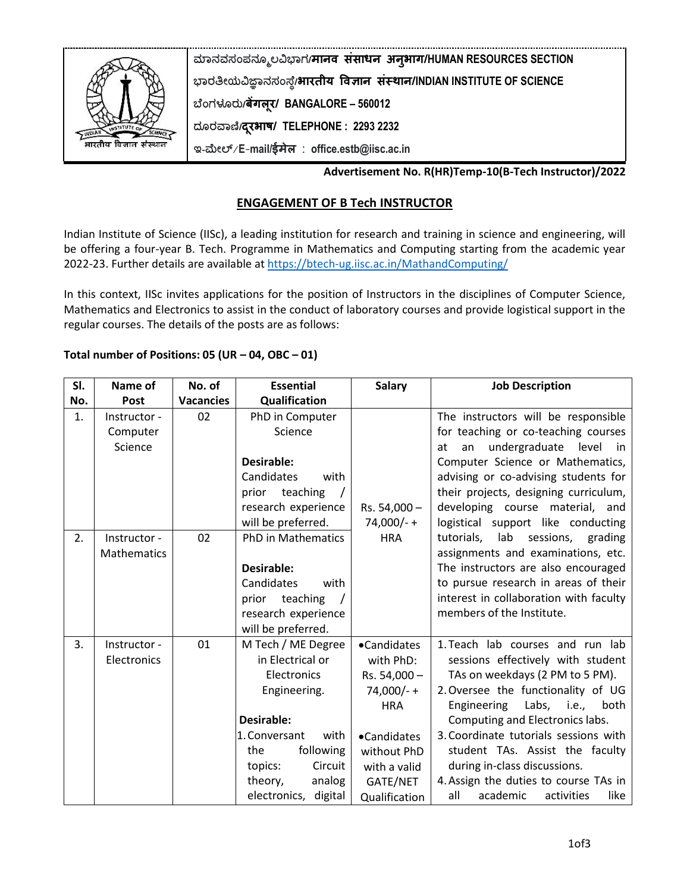

**ಮಾನವಸಂಪನಮೂಲವಿಭಾಗ/मानव संसाधन अनुभाग/HUMAN RESOURCES SECTION ಭಾರತೀಯವಿಜ್ಞಾನಸಂಸ್ಥೆ/भारतीय ववज्ञान संस्थान/INDIAN INSTITUTE OF SCIENCE ಬಥಂಗಳೂರು/बेंगलूर/ BANGALORE – 560012 ದಮರವಾಣಿ/दरूभाष/ TELEPHONE : 2293 2232 ಇ-ಮೀಲ್**/**E**-**mail/ईमेल** : **office.estb@iisc.ac.in**

# **Advertisement No. R(HR)Temp-10(B-Tech Instructor)/2022**

# **ENGAGEMENT OF B Tech INSTRUCTOR**

Indian Institute of Science (IISc), a leading institution for research and training in science and engineering, will be offering a four-year B. Tech. Programme in Mathematics and Computing starting from the academic year 2022-23. Further details are available at<https://btech-ug.iisc.ac.in/MathandComputing/>

In this context, IISc invites applications for the position of Instructors in the disciplines of Computer Science, Mathematics and Electronics to assist in the conduct of laboratory courses and provide logistical support in the regular courses. The details of the posts are as follows:

## **Total number of Positions: 05 (UR – 04, OBC – 01)**

| SI. | Name of                             | No. of           | <b>Essential</b>                                                                                                                                                                                    | <b>Salary</b>                                                                                                                                     | <b>Job Description</b>                                                                                                                                                                                                                                                                                                                                                                                                |
|-----|-------------------------------------|------------------|-----------------------------------------------------------------------------------------------------------------------------------------------------------------------------------------------------|---------------------------------------------------------------------------------------------------------------------------------------------------|-----------------------------------------------------------------------------------------------------------------------------------------------------------------------------------------------------------------------------------------------------------------------------------------------------------------------------------------------------------------------------------------------------------------------|
| No. | <b>Post</b>                         | <b>Vacancies</b> | Qualification                                                                                                                                                                                       |                                                                                                                                                   |                                                                                                                                                                                                                                                                                                                                                                                                                       |
| 1.  | Instructor -<br>Computer<br>Science | 02               | PhD in Computer<br>Science                                                                                                                                                                          |                                                                                                                                                   | The instructors will be responsible<br>for teaching or co-teaching courses<br>undergraduate<br>level<br>an<br>in<br>at                                                                                                                                                                                                                                                                                                |
|     |                                     |                  | Desirable:<br>Candidates<br>with<br>teaching<br>prior<br>research experience<br>will be preferred.                                                                                                  | $Rs. 54,000 -$<br>$74,000/- +$                                                                                                                    | Computer Science or Mathematics,<br>advising or co-advising students for<br>their projects, designing curriculum,<br>developing course material, and<br>logistical support like conducting                                                                                                                                                                                                                            |
| 2.  | Instructor -<br><b>Mathematics</b>  | 02               | <b>PhD in Mathematics</b><br>Desirable:<br>Candidates<br>with<br>prior teaching<br>research experience<br>will be preferred.                                                                        | <b>HRA</b>                                                                                                                                        | lab<br>tutorials,<br>sessions,<br>grading<br>assignments and examinations, etc.<br>The instructors are also encouraged<br>to pursue research in areas of their<br>interest in collaboration with faculty<br>members of the Institute.                                                                                                                                                                                 |
| 3.  | Instructor -<br>Electronics         | 01               | M Tech / ME Degree<br>in Electrical or<br>Electronics<br>Engineering.<br>Desirable:<br>1. Conversant<br>with<br>following<br>the<br>Circuit<br>topics:<br>theory,<br>analog<br>electronics, digital | •Candidates<br>with PhD:<br>Rs. 54,000 -<br>$74,000/- +$<br><b>HRA</b><br>•Candidates<br>without PhD<br>with a valid<br>GATE/NET<br>Qualification | 1. Teach lab courses and run lab<br>sessions effectively with student<br>TAs on weekdays (2 PM to 5 PM).<br>2. Oversee the functionality of UG<br>Labs, i.e.,<br>Engineering<br>both<br>Computing and Electronics labs.<br>3. Coordinate tutorials sessions with<br>student TAs. Assist the faculty<br>during in-class discussions.<br>4. Assign the duties to course TAs in<br>all<br>academic<br>activities<br>like |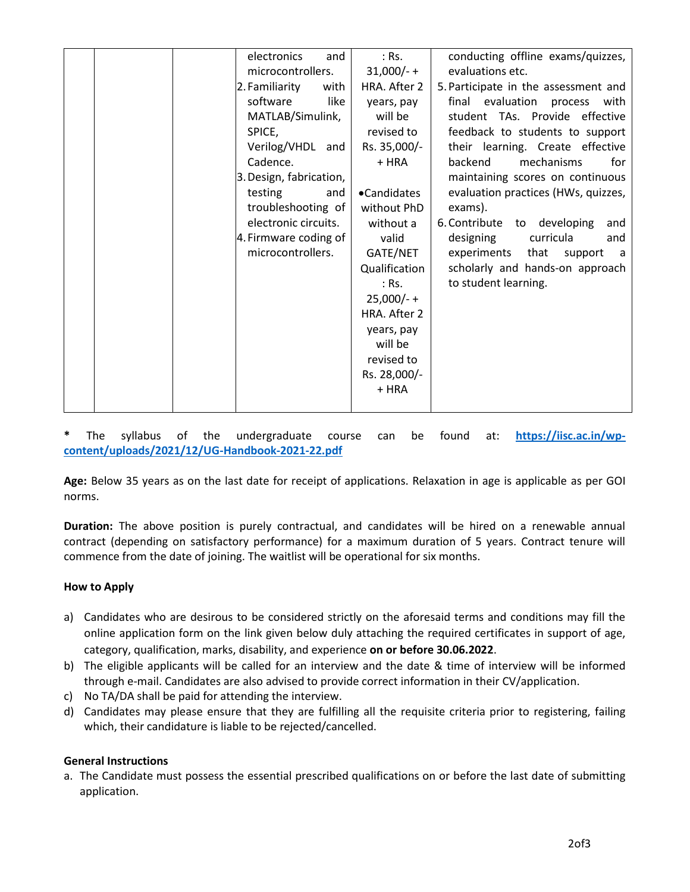| electronics<br>and<br>microcontrollers.<br>2. Familiarity<br>with<br>software<br>like<br>MATLAB/Simulink,<br>SPICE,<br>Verilog/VHDL and<br>Cadence.<br>3. Design, fabrication,<br>testing<br>and<br>troubleshooting of<br>electronic circuits.<br>4. Firmware coding of<br>microcontrollers. | $:$ Rs.<br>$31,000/- +$<br>HRA. After 2<br>years, pay<br>will be<br>revised to<br>Rs. 35,000/-<br>+ HRA<br>•Candidates<br>without PhD<br>without a<br>valid<br>GATE/NET<br>Qualification<br>$:$ Rs.<br>$25,000/- +$<br>HRA. After 2<br>years, pay<br>will be | conducting offline exams/quizzes,<br>evaluations etc.<br>5. Participate in the assessment and<br>final evaluation<br>process with<br>student TAs. Provide effective<br>feedback to students to support<br>their learning. Create effective<br>backend<br>mechanisms<br>for<br>maintaining scores on continuous<br>evaluation practices (HWs, quizzes,<br>exams).<br>6. Contribute to developing<br>and<br>designing<br>curricula<br>and<br>experiments<br>that<br>support<br>a<br>scholarly and hands-on approach<br>to student learning. |
|----------------------------------------------------------------------------------------------------------------------------------------------------------------------------------------------------------------------------------------------------------------------------------------------|--------------------------------------------------------------------------------------------------------------------------------------------------------------------------------------------------------------------------------------------------------------|-------------------------------------------------------------------------------------------------------------------------------------------------------------------------------------------------------------------------------------------------------------------------------------------------------------------------------------------------------------------------------------------------------------------------------------------------------------------------------------------------------------------------------------------|
|                                                                                                                                                                                                                                                                                              | revised to<br>Rs. 28,000/-<br>+ HRA                                                                                                                                                                                                                          |                                                                                                                                                                                                                                                                                                                                                                                                                                                                                                                                           |

The syllabus of the undergraduate course can be found at: [https://iisc.ac.in/wp](https://iisc.ac.in/wp-content/uploads/2021/12/UG-Handbook-2021-22.pdf)**[content/uploads/2021/12/UG-Handbook-2021-22.pdf](https://iisc.ac.in/wp-content/uploads/2021/12/UG-Handbook-2021-22.pdf)**

**Age:** Below 35 years as on the last date for receipt of applications. Relaxation in age is applicable as per GOI norms.

**Duration:** The above position is purely contractual, and candidates will be hired on a renewable annual contract (depending on satisfactory performance) for a maximum duration of 5 years. Contract tenure will commence from the date of joining. The waitlist will be operational for six months.

## **How to Apply**

- a) Candidates who are desirous to be considered strictly on the aforesaid terms and conditions may fill the online application form on the link given below duly attaching the required certificates in support of age, category, qualification, marks, disability, and experience **on or before 30.06.2022**.
- b) The eligible applicants will be called for an interview and the date & time of interview will be informed through e-mail. Candidates are also advised to provide correct information in their CV/application.
- c) No TA/DA shall be paid for attending the interview.
- d) Candidates may please ensure that they are fulfilling all the requisite criteria prior to registering, failing which, their candidature is liable to be rejected/cancelled.

## **General Instructions**

a. The Candidate must possess the essential prescribed qualifications on or before the last date of submitting application.